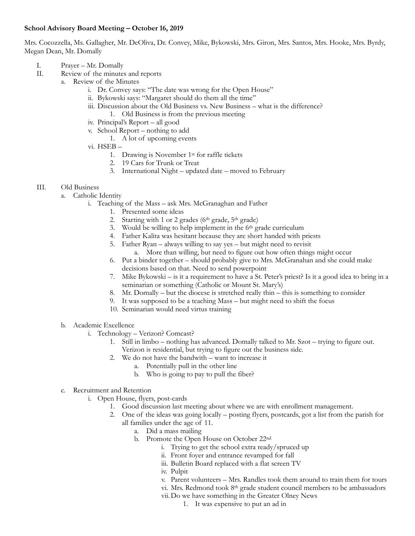## **School Advisory Board Meeting – October 16, 2019**

Mrs. Cocozzella, Ms. Gallagher, Mr. DeOliva, Dr. Convey, Mike, Bykowski, Mrs. Giron, Mrs. Santos, Mrs. Hooke, Mrs. Byrdy, Megan Dean, Mr. Domally

- I. Prayer Mr. Domally
- II. Review of the minutes and reports
	- a. Review of the Minutes
		- i. Dr. Convey says: "The date was wrong for the Open House"
		- ii. Bykowski says: "Margaret should do them all the time"
		- iii. Discussion about the Old Business vs. New Business what is the difference?
			- 1. Old Business is from the previous meeting
		- iv. Principal's Report all good
		- v. School Report nothing to add
			- 1. A lot of upcoming events
		- vi. HSEB
			- 1. Drawing is November 1st for raffle tickets
			- 2. 19 Cars for Trunk or Treat
			- 3. International Night updated date moved to February
- III. Old Business
	- a. Catholic Identity
		- i. Teaching of the Mass ask Mrs. McGranaghan and Father
			- 1. Presented some ideas
			- 2. Starting with 1 or 2 grades ( $6<sup>th</sup>$  grade,  $5<sup>th</sup>$  grade)
			- 3. Would be willing to help implement in the 6th grade curriculum
			- 4. Father Kalita was hesitant because they are short handed with priests
			- 5. Father Ryan always willing to say yes but might need to revisit a. More than willing, but need to figure out how often things might occur
			- 6. Put a binder together should probably give to Mrs. McGranahan and she could make decisions based on that. Need to send powerpoint
			- 7. Mike Bykowski is it a requirement to have a St. Peter's priest? Is it a good idea to bring in a seminarian or something (Catholic or Mount St. Mary's)
			- 8. Mr. Domally but the diocese is stretched really thin this is something to consider
			- 9. It was supposed to be a teaching Mass but might need to shift the focus
			- 10. Seminarian would need virtus training
	- b. Academic Excellence
		- i. Technology Verizon? Comcast?
			- 1. Still in limbo nothing has advanced. Domally talked to Mr. Szot trying to figure out. Verizon is residential, but trying to figure out the business side.
			- 2. We do not have the bandwith want to increase it
				- a. Potentially pull in the other line
					- b. Who is going to pay to pull the fiber?
	- c. Recruitment and Retention
		- i. Open House, flyers, post-cards
			- 1. Good discussion last meeting about where we are with enrollment management.
			- 2. One of the ideas was going locally posting flyers, postcards, got a list from the parish for all families under the age of 11.
				- a. Did a mass mailing
				- b. Promote the Open House on October 22nd
					- i. Trying to get the school extra ready/spruced up
					- ii. Front foyer and entrance revamped for fall
					- iii. Bulletin Board replaced with a flat screen TV
					- iv. Pulpit
					- v. Parent volunteers Mrs. Randles took them around to train them for tours
					- vi. Mrs. Redmond took 8<sup>th</sup> grade student council members to be ambassadors
					- vii.Do we have something in the Greater Olney News
						- 1. It was expensive to put an ad in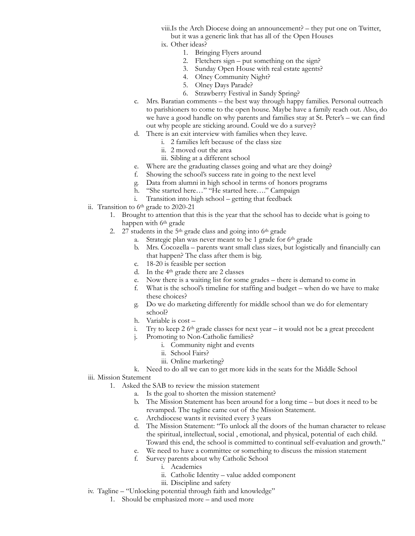viii.Is the Arch Diocese doing an announcement? – they put one on Twitter, but it was a generic link that has all of the Open Houses ix. Other ideas?

- 1. Bringing Flyers around
- 2. Fletchers sign put something on the sign?
- 3. Sunday Open House with real estate agents?
- 4. Olney Community Night?
- 5. Olney Days Parade?
- 6. Strawberry Festival in Sandy Spring?
- c. Mrs. Baratian comments the best way through happy families. Personal outreach to parishioners to come to the open house. Maybe have a family reach out. Also, do we have a good handle on why parents and families stay at St. Peter's – we can find out why people are sticking around. Could we do a survey?
- d. There is an exit interview with families when they leave.
	- i. 2 families left because of the class size
		- ii. 2 moved out the area
		- iii. Sibling at a different school
- e. Where are the graduating classes going and what are they doing?
- f. Showing the school's success rate in going to the next level
- g. Data from alumni in high school in terms of honors programs
- h. "She started here…" "He started here…." Campaign
- i. Transition into high school getting that feedback
- ii. Transition to 6th grade to 2020-21
	- 1. Brought to attention that this is the year that the school has to decide what is going to happen with 6th grade
	- 2.  $27$  students in the 5<sup>th</sup> grade class and going into 6<sup>th</sup> grade
		- a. Strategic plan was never meant to be 1 grade for 6th grade
		- b. Mrs. Cocozella parents want small class sizes, but logistically and financially can that happen? The class after them is big.
		- c. 18-20 is feasible per section
		- d. In the 4th grade there are 2 classes
		- e. Now there is a waiting list for some grades there is demand to come in
		- f. What is the school's timeline for staffing and budget when do we have to make these choices?
		- g. Do we do marketing differently for middle school than we do for elementary school?
		- h. Variable is cost –
		- i. Try to keep 2.6<sup>th</sup> grade classes for next year  $-$  it would not be a great precedent
		- j. Promoting to Non-Catholic families?
			- i. Community night and events
				- ii. School Fairs?
				- iii. Online marketing?
		- k. Need to do all we can to get more kids in the seats for the Middle School
- iii. Mission Statement
	- 1. Asked the SAB to review the mission statement
		- a. Is the goal to shorten the mission statement?
		- b. The Mission Statement has been around for a long time but does it need to be revamped. The tagline came out of the Mission Statement.
		- c. Archdiocese wants it revisited every 3 years
		- d. The Mission Statement: "To unlock all the doors of the human character to release the spiritual, intellectual, social , emotional, and physical, potential of each child. Toward this end, the school is committed to continual self-evaluation and growth."
		- e. We need to have a committee or something to discuss the mission statement
		- f. Survey parents about why Catholic School
			- i. Academics
			- ii. Catholic Identity value added component
			- iii. Discipline and safety
- iv. Tagline "Unlocking potential through faith and knowledge"
	- 1. Should be emphasized more and used more